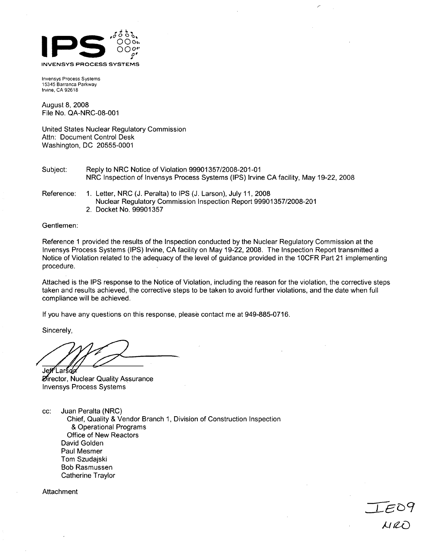

Invensys Process Systems 15345 Barranca Parkway Irvine, CA 92618

August 8, 2008 File No. QA-NRC-08-001

United States Nuclear Regulatory Commission Attn: Document Control Desk Washington, DC 20555-0001

- Subject: Reply to NRC Notice of Violation 99901357/2008-201-01 NRC Inspection of Invensys Process Systems (IPS) Irvine CA facility, May 19-22, 2008
- Reference: 1. Letter, NRC (J. Peralta) to IPS (J. Larson), July 11, 2008 Nuclear Regulatory Commission Inspection Report 99901357/2008-201 2. Docket No. 99901357

Gentlemen:

Reference 1 provided the results of the Inspection conducted by the Nuclear Regulatory Commission at the Invensys Process Systems (IPS) Irvine, CA facility on May 19-22, 2008. The Inspection Report transmitted a Notice of Violation related to the adequacy of the level of guidance provided in the 10CFR Part 21 implementing procedure.

Attached is the **IPS** response to the Notice of Violation, including the reason for the violation, the corrective steps taken and results achieved, the corrective steps to be taken to avoid further violations, and the date when full compliance will be achieved.

 $LEC$ 

If you have any questions on this response, please contact me at 949-885-0716.

Sincerely,

**Je** -Lar **Zirector, Nuclear Quality Assurance** Invensys Process Systems

cc: Juan Peralta (NRC) Chief, Quality & Vendor Branch 1, Division of Construction Inspection & Operational Programs Office of New Reactors David Golden Paul Mesmer Tom Szudajski Bob Rasmussen Catherine Traylor

Attachment